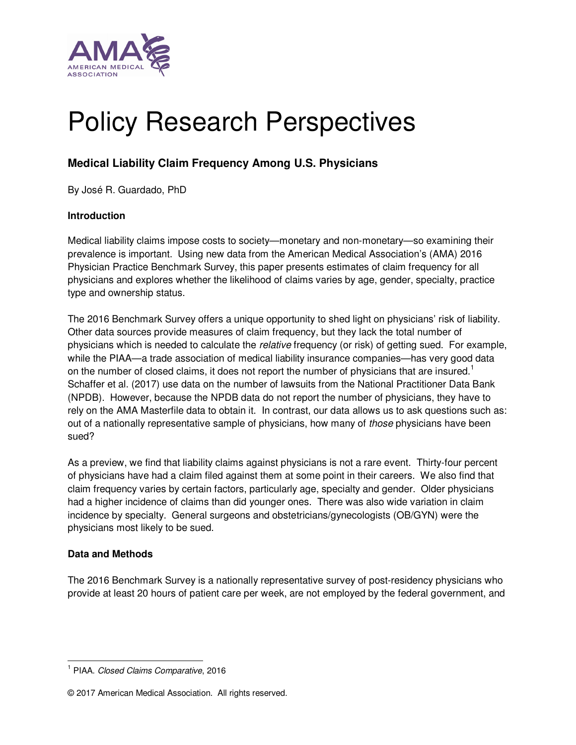

# Policy Research Perspectives

# **Medical Liability Claim Frequency Among U.S. Physicians**

By José R. Guardado, PhD

# **Introduction**

Medical liability claims impose costs to society—monetary and non-monetary—so examining their prevalence is important. Using new data from the American Medical Association's (AMA) 2016 Physician Practice Benchmark Survey, this paper presents estimates of claim frequency for all physicians and explores whether the likelihood of claims varies by age, gender, specialty, practice type and ownership status.

The 2016 Benchmark Survey offers a unique opportunity to shed light on physicians' risk of liability. Other data sources provide measures of claim frequency, but they lack the total number of physicians which is needed to calculate the relative frequency (or risk) of getting sued. For example, while the PIAA—a trade association of medical liability insurance companies—has very good data on the number of closed claims, it does not report the number of physicians that are insured.<sup>1</sup> Schaffer et al. (2017) use data on the number of lawsuits from the National Practitioner Data Bank (NPDB). However, because the NPDB data do not report the number of physicians, they have to rely on the AMA Masterfile data to obtain it. In contrast, our data allows us to ask questions such as: out of a nationally representative sample of physicians, how many of *those* physicians have been sued?

As a preview, we find that liability claims against physicians is not a rare event. Thirty-four percent of physicians have had a claim filed against them at some point in their careers. We also find that claim frequency varies by certain factors, particularly age, specialty and gender. Older physicians had a higher incidence of claims than did younger ones. There was also wide variation in claim incidence by specialty. General surgeons and obstetricians/gynecologists (OB/GYN) were the physicians most likely to be sued.

# **Data and Methods**

 $\overline{a}$ 

The 2016 Benchmark Survey is a nationally representative survey of post-residency physicians who provide at least 20 hours of patient care per week, are not employed by the federal government, and

<sup>&</sup>lt;sup>1</sup> PIAA. Closed Claims Comparative, 2016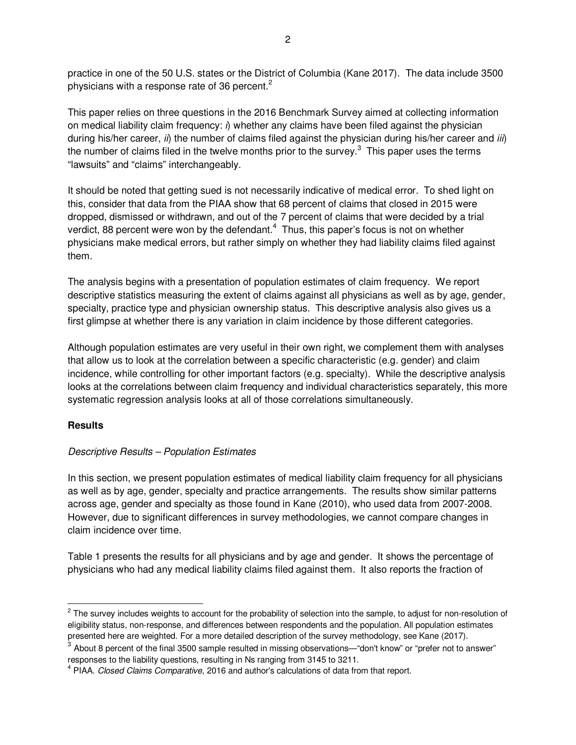practice in one of the 50 U.S. states or the District of Columbia (Kane 2017). The data include 3500 physicians with a response rate of 36 percent.<sup>2</sup>

This paper relies on three questions in the 2016 Benchmark Survey aimed at collecting information on medical liability claim frequency:  $\hat{\theta}$  whether any claims have been filed against the physician during his/her career,  $i\hat{\theta}$  the number of claims filed against the physician during his/her career and  $i\hat{\theta}$ the number of claims filed in the twelve months prior to the survey.<sup>3</sup> This paper uses the terms "lawsuits" and "claims" interchangeably.

It should be noted that getting sued is not necessarily indicative of medical error. To shed light on this, consider that data from the PIAA show that 68 percent of claims that closed in 2015 were dropped, dismissed or withdrawn, and out of the 7 percent of claims that were decided by a trial verdict, 88 percent were won by the defendant. $4$  Thus, this paper's focus is not on whether physicians make medical errors, but rather simply on whether they had liability claims filed against them.

The analysis begins with a presentation of population estimates of claim frequency. We report descriptive statistics measuring the extent of claims against all physicians as well as by age, gender, specialty, practice type and physician ownership status. This descriptive analysis also gives us a first glimpse at whether there is any variation in claim incidence by those different categories.

Although population estimates are very useful in their own right, we complement them with analyses that allow us to look at the correlation between a specific characteristic (e.g. gender) and claim incidence, while controlling for other important factors (e.g. specialty). While the descriptive analysis looks at the correlations between claim frequency and individual characteristics separately, this more systematic regression analysis looks at all of those correlations simultaneously.

# **Results**

 $\overline{a}$ 

# Descriptive Results – Population Estimates

In this section, we present population estimates of medical liability claim frequency for all physicians as well as by age, gender, specialty and practice arrangements. The results show similar patterns across age, gender and specialty as those found in Kane (2010), who used data from 2007-2008. However, due to significant differences in survey methodologies, we cannot compare changes in claim incidence over time.

Table 1 presents the results for all physicians and by age and gender. It shows the percentage of physicians who had any medical liability claims filed against them. It also reports the fraction of

<sup>&</sup>lt;sup>2</sup> The survey includes weights to account for the probability of selection into the sample, to adjust for non-resolution of eligibility status, non-response, and differences between respondents and the population. All population estimates presented here are weighted. For a more detailed description of the survey methodology, see Kane (2017).

 $^3$  About 8 percent of the final 3500 sample resulted in missing observations—"don't know" or "prefer not to answer" responses to the liability questions, resulting in Ns ranging from 3145 to 3211.

<sup>&</sup>lt;sup>4</sup> PIAA. Closed Claims Comparative, 2016 and author's calculations of data from that report.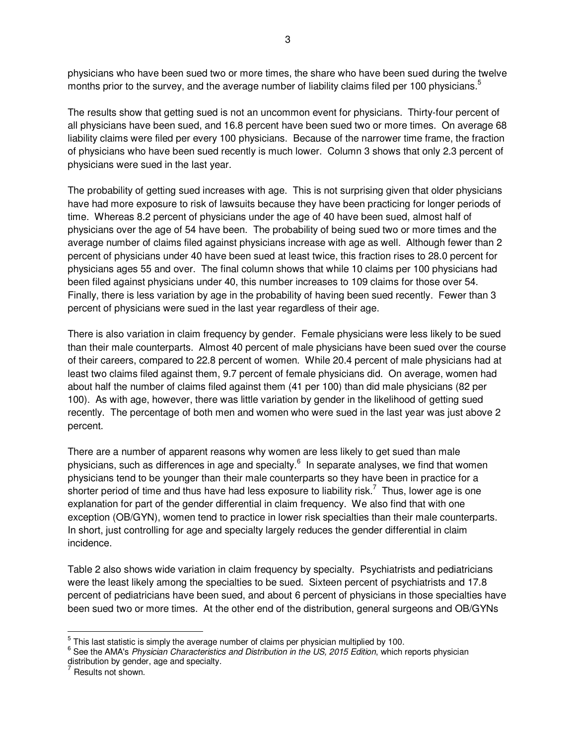physicians who have been sued two or more times, the share who have been sued during the twelve months prior to the survey, and the average number of liability claims filed per 100 physicians.<sup>5</sup>

The results show that getting sued is not an uncommon event for physicians. Thirty-four percent of all physicians have been sued, and 16.8 percent have been sued two or more times. On average 68 liability claims were filed per every 100 physicians. Because of the narrower time frame, the fraction of physicians who have been sued recently is much lower. Column 3 shows that only 2.3 percent of physicians were sued in the last year.

The probability of getting sued increases with age. This is not surprising given that older physicians have had more exposure to risk of lawsuits because they have been practicing for longer periods of time. Whereas 8.2 percent of physicians under the age of 40 have been sued, almost half of physicians over the age of 54 have been. The probability of being sued two or more times and the average number of claims filed against physicians increase with age as well. Although fewer than 2 percent of physicians under 40 have been sued at least twice, this fraction rises to 28.0 percent for physicians ages 55 and over. The final column shows that while 10 claims per 100 physicians had been filed against physicians under 40, this number increases to 109 claims for those over 54. Finally, there is less variation by age in the probability of having been sued recently. Fewer than 3 percent of physicians were sued in the last year regardless of their age.

There is also variation in claim frequency by gender. Female physicians were less likely to be sued than their male counterparts. Almost 40 percent of male physicians have been sued over the course of their careers, compared to 22.8 percent of women. While 20.4 percent of male physicians had at least two claims filed against them, 9.7 percent of female physicians did. On average, women had about half the number of claims filed against them (41 per 100) than did male physicians (82 per 100). As with age, however, there was little variation by gender in the likelihood of getting sued recently. The percentage of both men and women who were sued in the last year was just above 2 percent.

There are a number of apparent reasons why women are less likely to get sued than male physicians, such as differences in age and specialty.<sup>6</sup> In separate analyses, we find that women physicians tend to be younger than their male counterparts so they have been in practice for a shorter period of time and thus have had less exposure to liability risk.<sup>7</sup> Thus, lower age is one explanation for part of the gender differential in claim frequency. We also find that with one exception (OB/GYN), women tend to practice in lower risk specialties than their male counterparts. In short, just controlling for age and specialty largely reduces the gender differential in claim incidence.

Table 2 also shows wide variation in claim frequency by specialty. Psychiatrists and pediatricians were the least likely among the specialties to be sued. Sixteen percent of psychiatrists and 17.8 percent of pediatricians have been sued, and about 6 percent of physicians in those specialties have been sued two or more times. At the other end of the distribution, general surgeons and OB/GYNs

 $\overline{a}$ 

 $\frac{5}{3}$  This last statistic is simply the average number of claims per physician multiplied by 100.

<sup>&</sup>lt;sup>6</sup> See the AMA's Physician Characteristics and Distribution in the US, 2015 Edition, which reports physician distribution by gender, age and specialty.<br><sup>7</sup> Results not shown.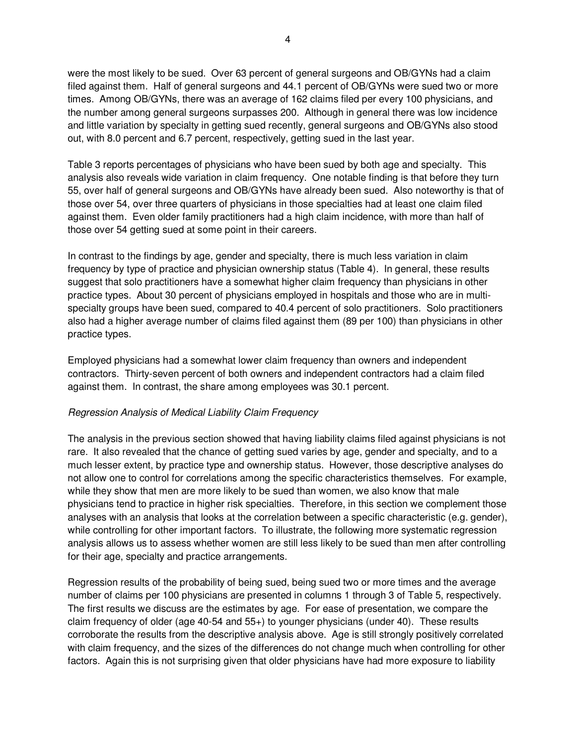were the most likely to be sued. Over 63 percent of general surgeons and OB/GYNs had a claim filed against them. Half of general surgeons and 44.1 percent of OB/GYNs were sued two or more times. Among OB/GYNs, there was an average of 162 claims filed per every 100 physicians, and the number among general surgeons surpasses 200. Although in general there was low incidence and little variation by specialty in getting sued recently, general surgeons and OB/GYNs also stood out, with 8.0 percent and 6.7 percent, respectively, getting sued in the last year.

Table 3 reports percentages of physicians who have been sued by both age and specialty. This analysis also reveals wide variation in claim frequency. One notable finding is that before they turn 55, over half of general surgeons and OB/GYNs have already been sued. Also noteworthy is that of those over 54, over three quarters of physicians in those specialties had at least one claim filed against them. Even older family practitioners had a high claim incidence, with more than half of those over 54 getting sued at some point in their careers.

In contrast to the findings by age, gender and specialty, there is much less variation in claim frequency by type of practice and physician ownership status (Table 4). In general, these results suggest that solo practitioners have a somewhat higher claim frequency than physicians in other practice types. About 30 percent of physicians employed in hospitals and those who are in multispecialty groups have been sued, compared to 40.4 percent of solo practitioners. Solo practitioners also had a higher average number of claims filed against them (89 per 100) than physicians in other practice types.

Employed physicians had a somewhat lower claim frequency than owners and independent contractors. Thirty-seven percent of both owners and independent contractors had a claim filed against them. In contrast, the share among employees was 30.1 percent.

#### Regression Analysis of Medical Liability Claim Frequency

The analysis in the previous section showed that having liability claims filed against physicians is not rare. It also revealed that the chance of getting sued varies by age, gender and specialty, and to a much lesser extent, by practice type and ownership status. However, those descriptive analyses do not allow one to control for correlations among the specific characteristics themselves. For example, while they show that men are more likely to be sued than women, we also know that male physicians tend to practice in higher risk specialties. Therefore, in this section we complement those analyses with an analysis that looks at the correlation between a specific characteristic (e.g. gender), while controlling for other important factors. To illustrate, the following more systematic regression analysis allows us to assess whether women are still less likely to be sued than men after controlling for their age, specialty and practice arrangements.

Regression results of the probability of being sued, being sued two or more times and the average number of claims per 100 physicians are presented in columns 1 through 3 of Table 5, respectively. The first results we discuss are the estimates by age. For ease of presentation, we compare the claim frequency of older (age 40-54 and 55+) to younger physicians (under 40). These results corroborate the results from the descriptive analysis above. Age is still strongly positively correlated with claim frequency, and the sizes of the differences do not change much when controlling for other factors. Again this is not surprising given that older physicians have had more exposure to liability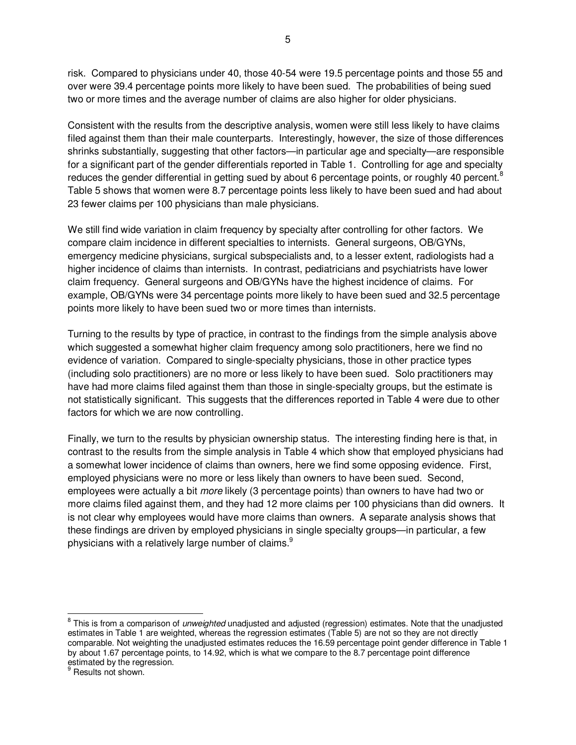risk. Compared to physicians under 40, those 40-54 were 19.5 percentage points and those 55 and over were 39.4 percentage points more likely to have been sued. The probabilities of being sued two or more times and the average number of claims are also higher for older physicians.

Consistent with the results from the descriptive analysis, women were still less likely to have claims filed against them than their male counterparts. Interestingly, however, the size of those differences shrinks substantially, suggesting that other factors—in particular age and specialty—are responsible for a significant part of the gender differentials reported in Table 1. Controlling for age and specialty reduces the gender differential in getting sued by about 6 percentage points, or roughly 40 percent.<sup>8</sup> Table 5 shows that women were 8.7 percentage points less likely to have been sued and had about 23 fewer claims per 100 physicians than male physicians.

We still find wide variation in claim frequency by specialty after controlling for other factors. We compare claim incidence in different specialties to internists. General surgeons, OB/GYNs, emergency medicine physicians, surgical subspecialists and, to a lesser extent, radiologists had a higher incidence of claims than internists. In contrast, pediatricians and psychiatrists have lower claim frequency. General surgeons and OB/GYNs have the highest incidence of claims. For example, OB/GYNs were 34 percentage points more likely to have been sued and 32.5 percentage points more likely to have been sued two or more times than internists.

Turning to the results by type of practice, in contrast to the findings from the simple analysis above which suggested a somewhat higher claim frequency among solo practitioners, here we find no evidence of variation. Compared to single-specialty physicians, those in other practice types (including solo practitioners) are no more or less likely to have been sued. Solo practitioners may have had more claims filed against them than those in single-specialty groups, but the estimate is not statistically significant. This suggests that the differences reported in Table 4 were due to other factors for which we are now controlling.

Finally, we turn to the results by physician ownership status. The interesting finding here is that, in contrast to the results from the simple analysis in Table 4 which show that employed physicians had a somewhat lower incidence of claims than owners, here we find some opposing evidence. First, employed physicians were no more or less likely than owners to have been sued. Second, employees were actually a bit more likely (3 percentage points) than owners to have had two or more claims filed against them, and they had 12 more claims per 100 physicians than did owners. It is not clear why employees would have more claims than owners. A separate analysis shows that these findings are driven by employed physicians in single specialty groups—in particular, a few physicians with a relatively large number of claims. $^9$ 

 $\overline{a}$ 

<sup>&</sup>lt;sup>8</sup> This is from a comparison of *unweighted* unadjusted and adjusted (regression) estimates. Note that the unadjusted estimates in Table 1 are weighted, whereas the regression estimates (Table 5) are not so they are not directly comparable. Not weighting the unadjusted estimates reduces the 16.59 percentage point gender difference in Table 1 by about 1.67 percentage points, to 14.92, which is what we compare to the 8.7 percentage point difference estimated by the regression.

<sup>&</sup>lt;sup>9</sup> Results not shown.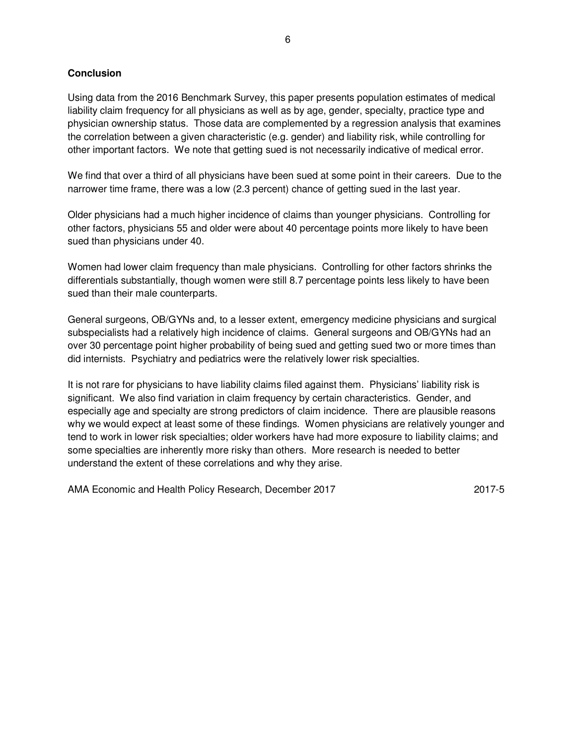# **Conclusion**

Using data from the 2016 Benchmark Survey, this paper presents population estimates of medical liability claim frequency for all physicians as well as by age, gender, specialty, practice type and physician ownership status. Those data are complemented by a regression analysis that examines the correlation between a given characteristic (e.g. gender) and liability risk, while controlling for other important factors. We note that getting sued is not necessarily indicative of medical error.

We find that over a third of all physicians have been sued at some point in their careers. Due to the narrower time frame, there was a low (2.3 percent) chance of getting sued in the last year.

Older physicians had a much higher incidence of claims than younger physicians. Controlling for other factors, physicians 55 and older were about 40 percentage points more likely to have been sued than physicians under 40.

Women had lower claim frequency than male physicians. Controlling for other factors shrinks the differentials substantially, though women were still 8.7 percentage points less likely to have been sued than their male counterparts.

General surgeons, OB/GYNs and, to a lesser extent, emergency medicine physicians and surgical subspecialists had a relatively high incidence of claims. General surgeons and OB/GYNs had an over 30 percentage point higher probability of being sued and getting sued two or more times than did internists. Psychiatry and pediatrics were the relatively lower risk specialties.

It is not rare for physicians to have liability claims filed against them. Physicians' liability risk is significant. We also find variation in claim frequency by certain characteristics. Gender, and especially age and specialty are strong predictors of claim incidence. There are plausible reasons why we would expect at least some of these findings. Women physicians are relatively younger and tend to work in lower risk specialties; older workers have had more exposure to liability claims; and some specialties are inherently more risky than others. More research is needed to better understand the extent of these correlations and why they arise.

AMA Economic and Health Policy Research, December 2017 **2017-5** 2017-5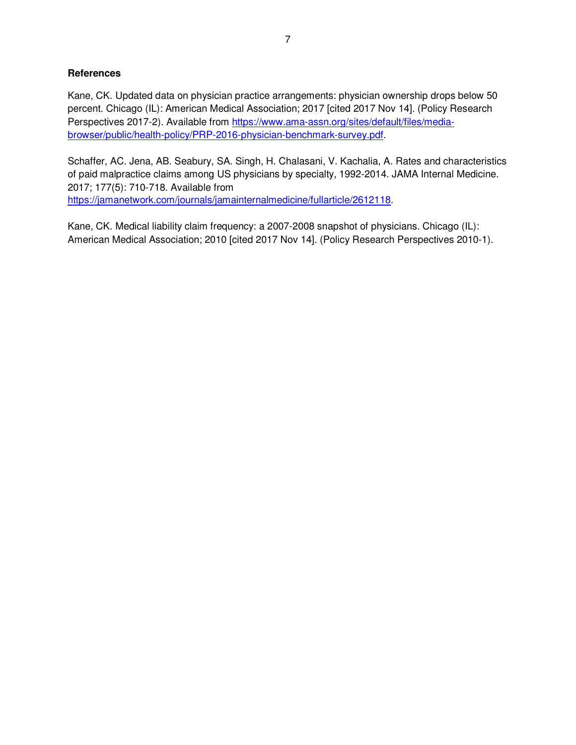## **References**

Kane, CK. Updated data on physician practice arrangements: physician ownership drops below 50 percent. Chicago (IL): American Medical Association; 2017 [cited 2017 Nov 14]. (Policy Research Perspectives 2017-2). Available from https://www.ama-assn.org/sites/default/files/mediabrowser/public/health-policy/PRP-2016-physician-benchmark-survey.pdf.

Schaffer, AC. Jena, AB. Seabury, SA. Singh, H. Chalasani, V. Kachalia, A. Rates and characteristics of paid malpractice claims among US physicians by specialty, 1992-2014. JAMA Internal Medicine. 2017; 177(5): 710-718. Available from https://jamanetwork.com/journals/jamainternalmedicine/fullarticle/2612118.

Kane, CK. Medical liability claim frequency: a 2007-2008 snapshot of physicians. Chicago (IL): American Medical Association; 2010 [cited 2017 Nov 14]. (Policy Research Perspectives 2010-1).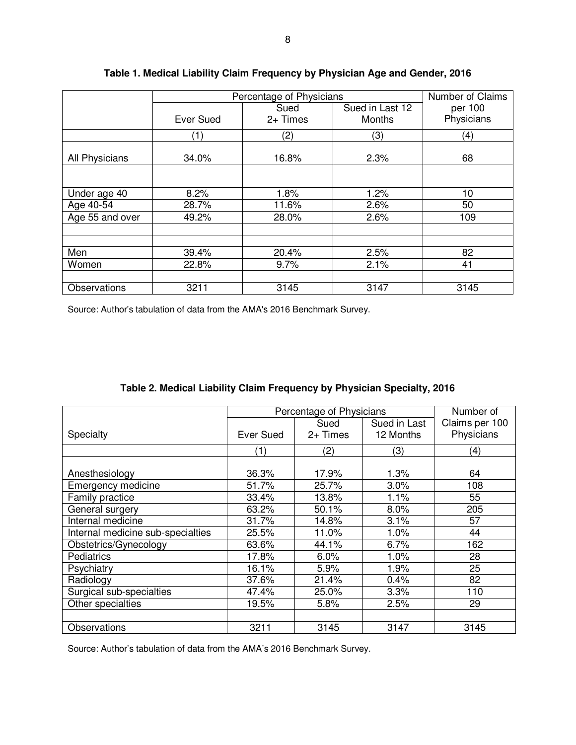|                 | Percentage of Physicians |          |                 | Number of Claims  |
|-----------------|--------------------------|----------|-----------------|-------------------|
|                 |                          | Sued     | Sued in Last 12 | per 100           |
|                 | <b>Ever Sued</b>         | 2+ Times | Months          | Physicians        |
|                 | $\left( 1\right)$        | (2)      | (3)             | $\left( 4\right)$ |
| All Physicians  | 34.0%                    | 16.8%    | 2.3%            | 68                |
|                 |                          |          |                 |                   |
| Under age 40    | 8.2%                     | 1.8%     | 1.2%            | 10                |
| Age $40-54$     | 28.7%                    | 11.6%    | 2.6%            | 50                |
| Age 55 and over | 49.2%                    | 28.0%    | 2.6%            | 109               |
|                 |                          |          |                 |                   |
|                 |                          |          |                 |                   |
| Men             | 39.4%                    | 20.4%    | 2.5%            | 82                |
| Women           | 22.8%                    | 9.7%     | 2.1%            | 41                |
|                 |                          |          |                 |                   |
| Observations    | 3211                     | 3145     | 3147            | 3145              |

# **Table 1. Medical Liability Claim Frequency by Physician Age and Gender, 2016**

Source: Author's tabulation of data from the AMA's 2016 Benchmark Survey.

| Table 2. Medical Liability Claim Frequency by Physician Specialty, 2016 |  |  |
|-------------------------------------------------------------------------|--|--|
|-------------------------------------------------------------------------|--|--|

|                                   | Percentage of Physicians |            |              | Number of      |
|-----------------------------------|--------------------------|------------|--------------|----------------|
|                                   |                          | Sued       | Sued in Last | Claims per 100 |
| Specialty                         | Ever Sued                | $2+$ Times | 12 Months    | Physicians     |
|                                   | (1)                      | (2)        | (3)          | (4)            |
|                                   |                          |            |              |                |
| Anesthesiology                    | 36.3%                    | 17.9%      | 1.3%         | 64             |
| Emergency medicine                | 51.7%                    | 25.7%      | $3.0\%$      | 108            |
| Family practice                   | 33.4%                    | 13.8%      | 1.1%         | 55             |
| General surgery                   | 63.2%                    | 50.1%      | 8.0%         | 205            |
| Internal medicine                 | 31.7%                    | 14.8%      | 3.1%         | 57             |
| Internal medicine sub-specialties | 25.5%                    | 11.0%      | 1.0%         | 44             |
| Obstetrics/Gynecology             | 63.6%                    | 44.1%      | 6.7%         | 162            |
| Pediatrics                        | 17.8%                    | 6.0%       | 1.0%         | 28             |
| Psychiatry                        | 16.1%                    | 5.9%       | 1.9%         | 25             |
| Radiology                         | 37.6%                    | 21.4%      | 0.4%         | 82             |
| Surgical sub-specialties          | 47.4%                    | 25.0%      | 3.3%         | 110            |
| Other specialties                 | 19.5%                    | 5.8%       | 2.5%         | 29             |
|                                   |                          |            |              |                |
| Observations                      | 3211                     | 3145       | 3147         | 3145           |

Source: Author's tabulation of data from the AMA's 2016 Benchmark Survey.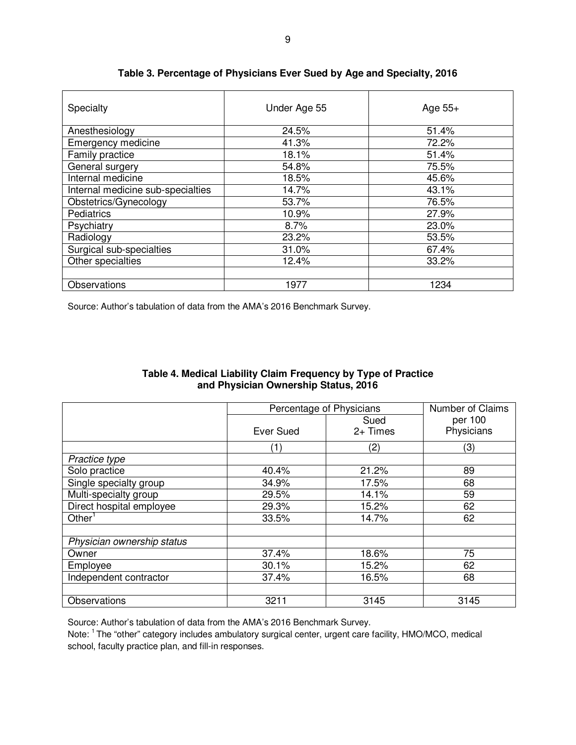| Specialty                         | Under Age 55 | Age $55+$ |  |
|-----------------------------------|--------------|-----------|--|
| Anesthesiology                    | 24.5%        | 51.4%     |  |
| Emergency medicine                | 41.3%        | 72.2%     |  |
| Family practice                   | 18.1%        | 51.4%     |  |
| General surgery                   | 54.8%        | 75.5%     |  |
| Internal medicine                 | 18.5%        | 45.6%     |  |
| Internal medicine sub-specialties | 14.7%        | 43.1%     |  |
| Obstetrics/Gynecology             | 53.7%        | 76.5%     |  |
| <b>Pediatrics</b>                 | 10.9%        | 27.9%     |  |
| Psychiatry                        | 8.7%         | 23.0%     |  |
| Radiology                         | 23.2%        | 53.5%     |  |
| Surgical sub-specialties          | 31.0%        | 67.4%     |  |
| Other specialties                 | 12.4%        | 33.2%     |  |
|                                   |              |           |  |
| Observations                      | 1977         | 1234      |  |

#### **Table 3. Percentage of Physicians Ever Sued by Age and Specialty, 2016**

Source: Author's tabulation of data from the AMA's 2016 Benchmark Survey.

|                            | Percentage of Physicians |            | <b>Number of Claims</b> |
|----------------------------|--------------------------|------------|-------------------------|
|                            |                          | Sued       | per 100                 |
|                            | Ever Sued                | $2+$ Times | Physicians              |
|                            | (1)                      | (2)        | (3)                     |
| Practice type              |                          |            |                         |
| Solo practice              | 40.4%                    | 21.2%      | 89                      |
| Single specialty group     | 34.9%                    | 17.5%      | 68                      |
| Multi-specialty group      | 29.5%                    | 14.1%      | 59                      |
| Direct hospital employee   | 29.3%                    | 15.2%      | 62                      |
| Other <sup>1</sup>         | 33.5%                    | 14.7%      | 62                      |
|                            |                          |            |                         |
| Physician ownership status |                          |            |                         |
| Owner                      | 37.4%                    | 18.6%      | 75                      |
| Employee                   | 30.1%                    | 15.2%      | 62                      |
| Independent contractor     | 37.4%                    | 16.5%      | 68                      |
|                            |                          |            |                         |
| Observations               | 3211                     | 3145       | 3145                    |

## **Table 4. Medical Liability Claim Frequency by Type of Practice and Physician Ownership Status, 2016**

Source: Author's tabulation of data from the AMA's 2016 Benchmark Survey.

Note: <sup>1</sup>The "other" category includes ambulatory surgical center, urgent care facility, HMO/MCO, medical school, faculty practice plan, and fill-in responses.